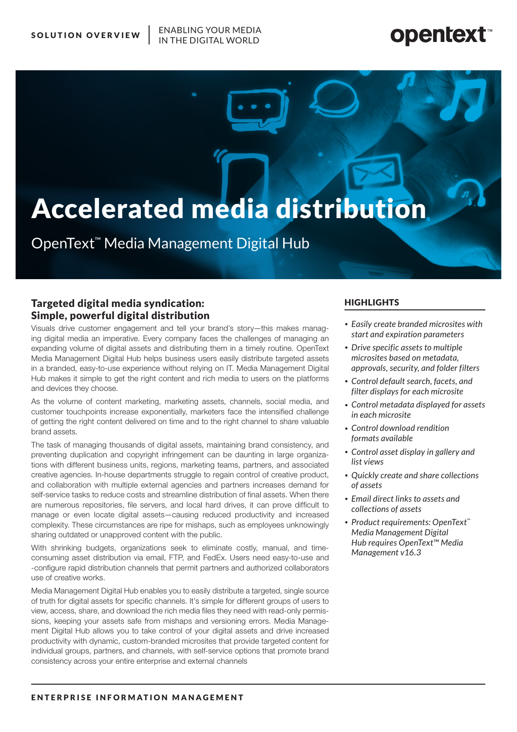ENABLING YOUR MEDIA

# **opentext**

# Accelerated media distribution

OpenText™ Media Management Digital Hub

# Targeted digital media syndication: Simple, powerful digital distribution

Visuals drive customer engagement and tell your brand's story—this makes managing digital media an imperative. Every company faces the challenges of managing an expanding volume of digital assets and distributing them in a timely routine. OpenText Media Management Digital Hub helps business users easily distribute targeted assets in a branded, easy-to-use experience without relying on IT. Media Management Digital Hub makes it simple to get the right content and rich media to users on the platforms and devices they choose.

As the volume of content marketing, marketing assets, channels, social media, and customer touchpoints increase exponentially, marketers face the intensified challenge of getting the right content delivered on time and to the right channel to share valuable brand assets.

The task of managing thousands of digital assets, maintaining brand consistency, and preventing duplication and copyright infringement can be daunting in large organizations with different business units, regions, marketing teams, partners, and associated creative agencies. In-house departments struggle to regain control of creative product, and collaboration with multiple external agencies and partners increases demand for self-service tasks to reduce costs and streamline distribution of final assets. When there are numerous repositories, file servers, and local hard drives, it can prove difficult to manage or even locate digital assets—causing reduced productivity and increased complexity. These circumstances are ripe for mishaps, such as employees unknowingly sharing outdated or unapproved content with the public.

With shrinking budgets, organizations seek to eliminate costly, manual, and timeconsuming asset distribution via email, FTP, and FedEx. Users need easy-to-use and -configure rapid distribution channels that permit partners and authorized collaborators use of creative works.

Media Management Digital Hub enables you to easily distribute a targeted, single source of truth for digital assets for specific channels. It's simple for different groups of users to view, access, share, and download the rich media files they need with read-only permissions, keeping your assets safe from mishaps and versioning errors. Media Management Digital Hub allows you to take control of your digital assets and drive increased productivity with dynamic, custom-branded microsites that provide targeted content for individual groups, partners, and channels, with self-service options that promote brand consistency across your entire enterprise and external channels

# **HIGHLIGHTS**

- *• Easily create branded microsites with start and expiration parameters*
- *• Drive specific assets to multiple microsites based on metadata, approvals, security, and folder filters*
- *• Control default search, facets, and filter displays for each microsite*
- *• Control metadata displayed for assets in each microsite*
- *• Control download rendition formats available*
- *• Control asset display in gallery and list views*
- *• Quickly create and share collections of assets*
- *• Email direct links to assets and collections of assets*
- *• Product requirements: OpenText™ Media Management Digital Hub requires OpenText™ Media Management v16.3*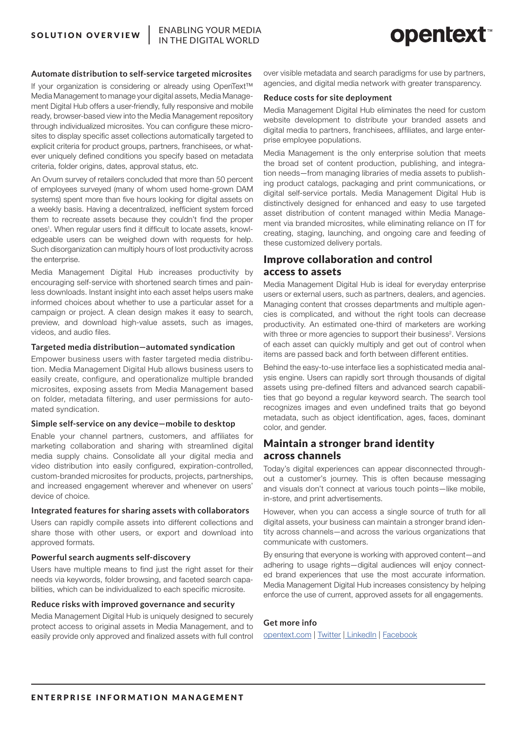# **Automate distribution to self-service targeted microsites**

If your organization is considering or already using OpenText™ Media Management to manage your digital assets, Media Management Digital Hub offers a user-friendly, fully responsive and mobile ready, browser-based view into the Media Management repository through individualized microsites. You can configure these microsites to display specific asset collections automatically targeted to explicit criteria for product groups, partners, franchisees, or whatever uniquely defined conditions you specify based on metadata criteria, folder origins, dates, approval status, etc.

An Ovum survey of retailers concluded that more than 50 percent of employees surveyed (many of whom used home-grown DAM systems) spent more than five hours looking for digital assets on a weekly basis. Having a decentralized, inefficient system forced them to recreate assets because they couldn't find the proper ones<sup>1</sup>. When regular users find it difficult to locate assets, knowledgeable users can be weighed down with requests for help. Such disorganization can multiply hours of lost productivity across the enterprise.

Media Management Digital Hub increases productivity by encouraging self-service with shortened search times and painless downloads. Instant insight into each asset helps users make informed choices about whether to use a particular asset for a campaign or project. A clean design makes it easy to search, preview, and download high-value assets, such as images, videos, and audio files.

#### **Targeted media distribution—automated syndication**

Empower business users with faster targeted media distribution. Media Management Digital Hub allows business users to easily create, configure, and operationalize multiple branded microsites, exposing assets from Media Management based on folder, metadata filtering, and user permissions for automated syndication.

#### **Simple self-service on any device—mobile to desktop**

Enable your channel partners, customers, and affiliates for marketing collaboration and sharing with streamlined digital media supply chains. Consolidate all your digital media and video distribution into easily configured, expiration-controlled, custom-branded microsites for products, projects, partnerships, and increased engagement wherever and whenever on users' device of choice.

### **Integrated features for sharing assets with collaborators**

Users can rapidly compile assets into different collections and share those with other users, or export and download into approved formats.

### **Powerful search augments self-discovery**

Users have multiple means to find just the right asset for their needs via keywords, folder browsing, and faceted search capabilities, which can be individualized to each specific microsite.

#### **Reduce risks with improved governance and security**

Media Management Digital Hub is uniquely designed to securely protect access to original assets in Media Management, and to easily provide only approved and finalized assets with full control over visible metadata and search paradigms for use by partners, agencies, and digital media network with greater transparency.

### **Reduce costs for site deployment**

Media Management Digital Hub eliminates the need for custom website development to distribute your branded assets and digital media to partners, franchisees, affiliates, and large enterprise employee populations.

Media Management is the only enterprise solution that meets the broad set of content production, publishing, and integration needs—from managing libraries of media assets to publishing product catalogs, packaging and print communications, or digital self-service portals. Media Management Digital Hub is distinctively designed for enhanced and easy to use targeted asset distribution of content managed within Media Management via branded microsites, while eliminating reliance on IT for creating, staging, launching, and ongoing care and feeding of these customized delivery portals.

# Improve collaboration and control access to assets

Media Management Digital Hub is ideal for everyday enterprise users or external users, such as partners, dealers, and agencies. Managing content that crosses departments and multiple agencies is complicated, and without the right tools can decrease productivity. An estimated one-third of marketers are working with three or more agencies to support their business<sup>2</sup>. Versions of each asset can quickly multiply and get out of control when items are passed back and forth between different entities.

Behind the easy-to-use interface lies a sophisticated media analysis engine. Users can rapidly sort through thousands of digital assets using pre-defined filters and advanced search capabilities that go beyond a regular keyword search. The search tool recognizes images and even undefined traits that go beyond metadata, such as object identification, ages, faces, dominant color, and gender.

# Maintain a stronger brand identity across channels

Today's digital experiences can appear disconnected throughout a customer's journey. This is often because messaging and visuals don't connect at various touch points—like mobile, in-store, and print advertisements.

However, when you can access a single source of truth for all digital assets, your business can maintain a stronger brand identity across channels—and across the various organizations that communicate with customers.

By ensuring that everyone is working with approved content—and adhering to usage rights—digital audiences will enjoy connected brand experiences that use the most accurate information. Media Management Digital Hub increases consistency by helping enforce the use of current, approved assets for all engagements.

# **Get more info**

opentext.com | Twitter | LinkedIn | Facebook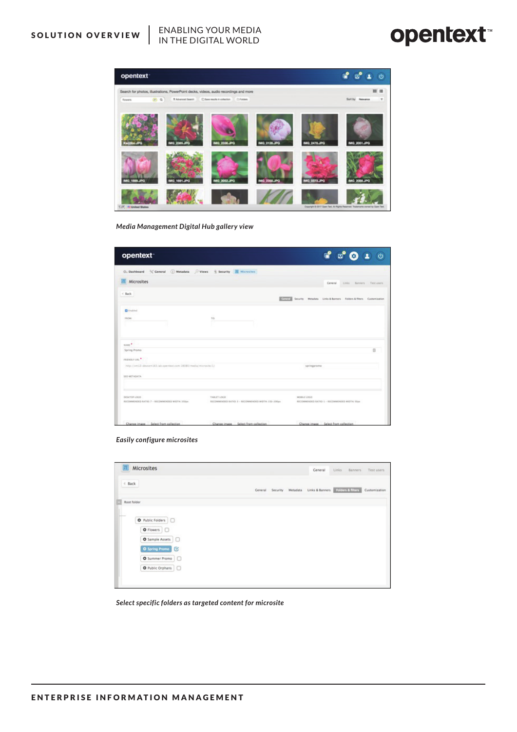# ENABLING YOUR MEDIA **SOLUTION OVERVIEW** | ENABLING YOUR MEDIA

# **opentext**



*Media Management Digital Hub gallery view*

| opentext <sup>-</sup>                                                                          |                                                                    | $\ddot{\mathbf{C}}$                                               |
|------------------------------------------------------------------------------------------------|--------------------------------------------------------------------|-------------------------------------------------------------------|
| O. Dashboard<br>Central<br>( ) Metadata<br>/> ( Views<br>( Security / Microsites               |                                                                    |                                                                   |
| Microsites                                                                                     |                                                                    | Ceneral<br>Links Banners Test users                               |
| $4.8$ ack                                                                                      | <b>County</b>                                                      | Security Metadata Links & Banners Folders & filters Customization |
| <b>El</b> trabled<br><b>FROM:</b>                                                              | TO:<br>$\sim$                                                      |                                                                   |
| SAME <sup>*</sup><br>Spring Promo                                                              |                                                                    |                                                                   |
| FRENDLY UKL<br>http://wn12-devoem163.lab.opentext.com.18080/media/microsite/1/<br>SEO METADATA |                                                                    | springpromo                                                       |
| DESKTOP LOCO-<br>RECOMMENDED RATIO: 7 - RECOMMENDED WIDTH: 350am                               | TABLET LOCO<br>RECOMMENDED RATIO: 3 - RECOMMENDED WIDTH: 150-200px | MOBILE LOCO<br>RECOMMENDED RATIO: 1 - RECOMMENDED NYOTH: 50ya     |
| Change image Select from collection                                                            | Change image Select from collection                                | Change image Select from collection                               |

# *Easily configure microsites*

| Microsites<br>E                                  |  | General | Links<br>Banners                                          | Test users    |
|--------------------------------------------------|--|---------|-----------------------------------------------------------|---------------|
| $4$ Back                                         |  |         | Ceneral Security Metadata Links & Banners Edidon & Miters | Customization |
| Root folder                                      |  |         |                                                           |               |
| O Public Folders<br>$\bullet$ Flowers $\bigcirc$ |  |         |                                                           |               |
| O Sample Assets<br>O Spring Promo                |  |         |                                                           |               |
| O Summer Promo                                   |  |         |                                                           |               |
| O Public Orphans                                 |  |         |                                                           |               |

*Select specific folders as targeted content for microsite*